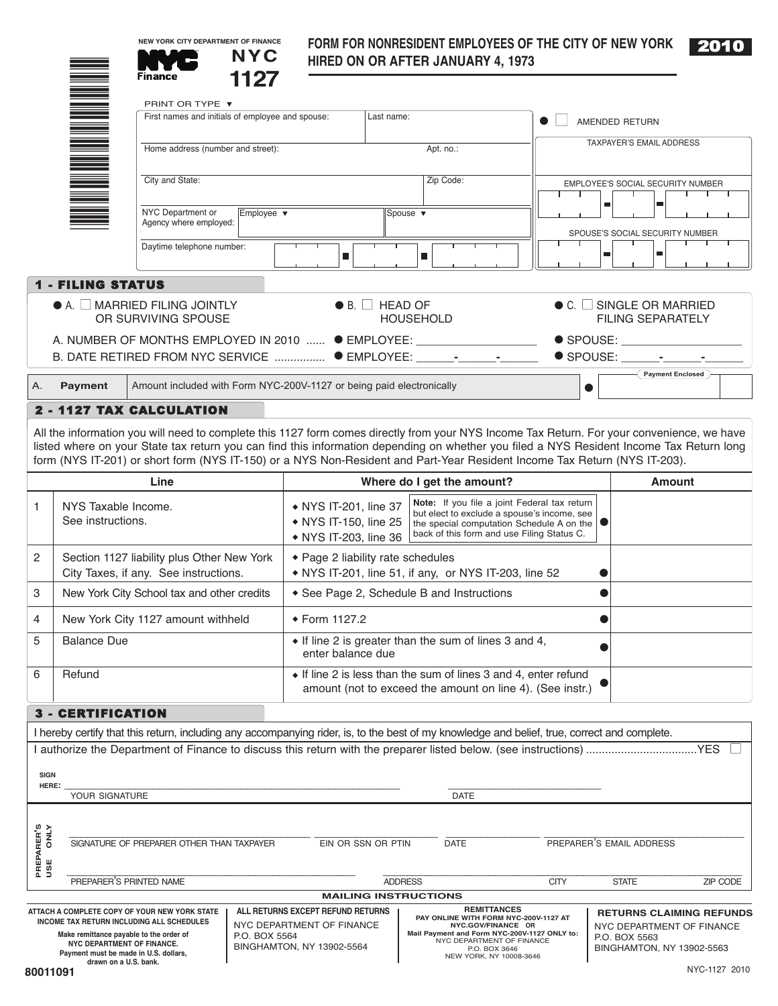|--|--|

|                          | <b>NYC</b><br>1127<br><b>Finance</b>                                 |                               | <b>HIRED ON OR AFTER JANUARY 4, 1973</b>                                                                      |                                          |                          | $\sim$ $\sim$ |
|--------------------------|----------------------------------------------------------------------|-------------------------------|---------------------------------------------------------------------------------------------------------------|------------------------------------------|--------------------------|---------------|
| NA MANAGERIA ANG         | PRINT OR TYPE ▼<br>First names and initials of employee and spouse:  |                               | Last name:                                                                                                    | AMENDED RETURN                           |                          |               |
|                          | Home address (number and street):                                    |                               | Apt. no.:                                                                                                     | <b>TAXPAYER'S EMAIL ADDRESS</b>          |                          |               |
|                          | City and State:                                                      |                               | Zip Code:                                                                                                     | <b>EMPLOYEE'S SOCIAL SECURITY NUMBER</b> |                          |               |
|                          | NYC Department or<br>Agency where employed:                          | Employee $\blacktriangledown$ | Spouse v                                                                                                      | SPOUSE'S SOCIAL SECURITY NUMBER          | п                        |               |
|                          | Daytime telephone number:                                            | п                             | п                                                                                                             |                                          | $\blacksquare$           |               |
| <b>1 - FILING STATUS</b> |                                                                      |                               |                                                                                                               |                                          |                          |               |
|                          | $\bullet$ A. $\Box$ MARRIED FILING JOINTLY<br>OR SURVIVING SPOUSE    |                               | $\bullet$ B. $\Box$ HEAD OF<br><b>HOUSEHOLD</b>                                                               | $\bullet$ C. $\Box$ SINGLE OR MARRIED    | <b>FILING SEPARATELY</b> |               |
|                          |                                                                      |                               | A. NUMBER OF MONTHS EMPLOYED IN 2010  ● EMPLOYEE:<br>B. DATE RETIRED FROM NYC SERVICE  ● EMPLOYEE: __________ | $\bullet$ SPOUSE:<br>SPOUSE:             |                          |               |
| <b>Payment</b><br>А.     | Amount included with Form NYC-200V-1127 or being paid electronically |                               |                                                                                                               | $\bullet$                                | <b>Payment Enclosed</b>  |               |
| 2 - 1127 TAX CALCULATION |                                                                      |                               |                                                                                                               |                                          |                          |               |

**NEW YORK CITY DEPARTMENT OF FINANCE**

**FORM FOR NONRESIDENT EMPLOYEES OF THE CITY OF NEW YORK**

All the information you will need to complete this 1127 form comes directly from your NYS Income Tax Return. For your convenience, we have listed where on your State tax return you can find this information depending on whether you filed a NYS Resident Income Tax Return long form (NYS IT-201) or short form (NYS IT-150) or a NYS Non-Resident and Part-Year Resident Income Tax Return (NYS IT-203).

|   | Line                                                                                | Where do I get the amount?                                                                                                                                                                                                                                                       | Amount |
|---|-------------------------------------------------------------------------------------|----------------------------------------------------------------------------------------------------------------------------------------------------------------------------------------------------------------------------------------------------------------------------------|--------|
|   | NYS Taxable Income.<br>See instructions.                                            | Note: If you file a joint Federal tax return<br>• NYS IT-201, line 37<br>but elect to exclude a spouse's income, see<br>• NYS IT-150, line 25<br>the special computation Schedule A on the $\blacksquare$<br>back of this form and use Filing Status C.<br>• NYS IT-203, line 36 |        |
| 2 | Section 1127 liability plus Other New York<br>City Taxes, if any. See instructions. | ◆ Page 2 liability rate schedules<br>• NYS IT-201, line 51, if any, or NYS IT-203, line 52                                                                                                                                                                                       |        |
| 3 | New York City School tax and other credits                                          | ◆ See Page 2, Schedule B and Instructions                                                                                                                                                                                                                                        |        |
| 4 | New York City 1127 amount withheld                                                  | $\div$ Form 1127.2                                                                                                                                                                                                                                                               |        |
| 5 | <b>Balance Due</b>                                                                  | $\bullet$ If line 2 is greater than the sum of lines 3 and 4,<br>enter balance due                                                                                                                                                                                               |        |
| 6 | Refund                                                                              | $\bullet$ If line 2 is less than the sum of lines 3 and 4, enter refund<br>amount (not to exceed the amount on line 4). (See instr.)                                                                                                                                             |        |
|   | <b>3 - CERTIFICATION</b>                                                            |                                                                                                                                                                                                                                                                                  |        |

I hereby certify that this return, including any accompanying rider, is, to the best of my knowledge and belief, true, correct and complete. I authorize the Department of Finance to discuss this return with the preparer listed below. (see instructions) ...................................YES ■ **SIGN HERE:** \_\_\_\_\_\_\_\_\_\_\_\_\_\_\_\_\_\_\_\_\_\_\_\_\_\_\_\_\_\_\_\_\_\_\_\_\_\_\_\_\_\_\_\_\_\_\_\_\_\_\_\_\_\_\_\_\_ \_\_\_\_\_\_\_\_\_\_\_\_\_\_\_\_\_\_\_\_\_\_\_\_\_\_ YOUR SIGNATURE DATE DATE ON A SERVICE SERVICE OF SIGNATURE DATE PREPARER'S<br>USE ONLY **PREPARER'S USE ONLY** \_\_\_\_\_\_\_\_\_\_\_\_\_\_\_\_\_\_\_\_\_\_\_\_\_\_\_\_\_\_\_\_\_\_\_\_\_\_\_\_\_ \_\_\_\_\_\_\_\_\_\_\_\_\_\_\_\_\_\_\_\_\_ \_\_\_\_\_\_\_\_\_\_\_\_\_\_\_\_ \_\_\_\_\_\_\_\_\_\_\_\_\_\_\_\_\_\_\_\_\_\_\_\_\_\_\_\_\_\_\_\_\_\_ SIGNATURE OF PREPARER OTHER THAN TAXPAYER EIN OR SSN OR PTIN DATE PREPARER'S EMAIL ADDRESS \_\_\_\_\_\_\_\_\_\_\_\_\_\_\_\_\_\_\_\_\_\_\_\_\_\_\_\_\_\_\_\_\_\_\_\_\_\_\_\_\_\_\_\_\_\_\_\_\_ \_\_\_\_\_\_\_\_\_\_\_\_\_\_\_\_\_\_\_\_\_\_\_\_\_\_\_\_\_\_\_\_\_\_\_\_\_\_\_\_\_\_\_\_\_\_\_\_\_\_\_\_\_\_\_\_\_\_\_\_\_ PREPARER'S PRINTED NAME **ADDRESS** ADDRESS CITY STATE **ZIP CODE MAILING INSTRUCTIONS REMITTANCES ATTACH A COMPLETE COPY OF YOUR NEW YORK STATE ALL RETURNS EXCEPT REFUND RETURNS RETURNS CLAIMING REFUNDS INCOME TAX RETURN INCLUDING ALL SCHEDULES PAY ONLINE WITH FORM NYC-200V-1127 AT NYC.GOV/FINANCE OR Mail Payment and Form NYC-200V-1127 ONLY to:** NYC DEPARTMENT OF FINANCE NYC DEPARTMENT OF FINANCE **Make remittance payable to the order of** P.O. BOX 5564 NYC DEPARTMENT OF FINANCE

P.O. BOX 3646 NEW YORK, NY 10008-3646

BINGHAMTON, NY 13902-5564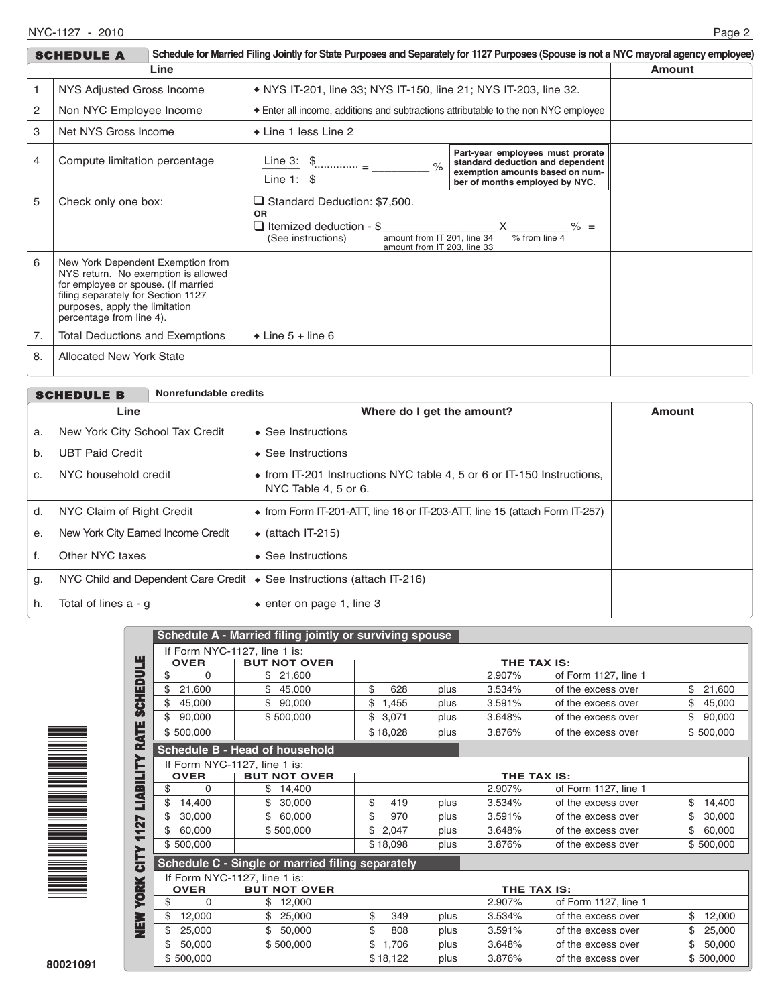|      | Schedule for Married Filing Jointly for State Purposes and Separately for 1127 Purposes (Spouse is not a NYC mayoral agency employee)<br><b>SCHEDULE A</b>                                                          |  |                                                                                                                                                                        |                                                                                                                                                                                                                                                                                                                   |  |  |  |
|------|---------------------------------------------------------------------------------------------------------------------------------------------------------------------------------------------------------------------|--|------------------------------------------------------------------------------------------------------------------------------------------------------------------------|-------------------------------------------------------------------------------------------------------------------------------------------------------------------------------------------------------------------------------------------------------------------------------------------------------------------|--|--|--|
| Line |                                                                                                                                                                                                                     |  |                                                                                                                                                                        | Amount                                                                                                                                                                                                                                                                                                            |  |  |  |
|      | NYS Adjusted Gross Income                                                                                                                                                                                           |  | • NYS IT-201, line 33; NYS IT-150, line 21; NYS IT-203, line 32.                                                                                                       |                                                                                                                                                                                                                                                                                                                   |  |  |  |
| 2    | Non NYC Employee Income                                                                                                                                                                                             |  | Enter all income, additions and subtractions attributable to the non NYC employee                                                                                      |                                                                                                                                                                                                                                                                                                                   |  |  |  |
| 3    | Net NYS Gross Income                                                                                                                                                                                                |  | ◆ Line 1 less Line 2                                                                                                                                                   |                                                                                                                                                                                                                                                                                                                   |  |  |  |
| 4    | Compute limitation percentage                                                                                                                                                                                       |  | Line 3: $\frac{1}{2}$<br>$\frac{6}{6}$<br>Line 1: $\sqrt{3}$                                                                                                           | Part-year employees must prorate<br>standard deduction and dependent<br>exemption amounts based on num-<br>ber of months employed by NYC.                                                                                                                                                                         |  |  |  |
| 5    | Check only one box:                                                                                                                                                                                                 |  | $\Box$ Standard Deduction: \$7,500.<br><b>OR</b><br>$\Box$ Itemized deduction - \$<br>amount from IT 201. line 34<br>(See instructions)<br>amount from IT 203, line 33 | $\mathsf{X}$ and $\mathsf{X}$ and $\mathsf{X}$ are $\mathsf{X}$ and $\mathsf{X}$ are $\mathsf{X}$ and $\mathsf{X}$ are $\mathsf{X}$ and $\mathsf{X}$ are $\mathsf{X}$ and $\mathsf{X}$ are $\mathsf{X}$ and $\mathsf{X}$ are $\mathsf{X}$ and $\mathsf{X}$ are $\mathsf{X}$ and $\mathsf{X}$ are<br>% from line 4 |  |  |  |
| 6    | New York Dependent Exemption from<br>NYS return. No exemption is allowed<br>for employee or spouse. (If married<br>filing separately for Section 1127<br>purposes, apply the limitation<br>percentage from line 4). |  |                                                                                                                                                                        |                                                                                                                                                                                                                                                                                                                   |  |  |  |
| 7.   | <b>Total Deductions and Exemptions</b>                                                                                                                                                                              |  | $\bullet$ Line 5 + line 6                                                                                                                                              |                                                                                                                                                                                                                                                                                                                   |  |  |  |
| 8.   | <b>Allocated New York State</b>                                                                                                                                                                                     |  |                                                                                                                                                                        |                                                                                                                                                                                                                                                                                                                   |  |  |  |

|      |                                          | <b>SCHEDULE B</b>               | Nonrefundable credits      |                                                                                                        |  |  |  |
|------|------------------------------------------|---------------------------------|----------------------------|--------------------------------------------------------------------------------------------------------|--|--|--|
| Line |                                          |                                 | Where do I get the amount? | <b>Amount</b>                                                                                          |  |  |  |
|      | a.                                       | New York City School Tax Credit |                            | $\bullet$ See Instructions                                                                             |  |  |  |
|      | b.                                       | <b>UBT Paid Credit</b>          |                            | $\triangle$ See Instructions                                                                           |  |  |  |
|      | C.                                       | NYC household credit            |                            | $\bullet$ from IT-201 Instructions NYC table 4, 5 or 6 or IT-150 Instructions,<br>NYC Table 4, 5 or 6. |  |  |  |
|      | d.                                       | NYC Claim of Right Credit       |                            | $\bullet$ from Form IT-201-ATT, line 16 or IT-203-ATT, line 15 (attach Form IT-257)                    |  |  |  |
|      | New York City Earned Income Credit<br>е. |                                 |                            | $\bullet$ (attach IT-215)                                                                              |  |  |  |
|      | f.                                       | Other NYC taxes                 |                            | $\triangle$ See Instructions                                                                           |  |  |  |
|      | g.                                       |                                 |                            | NYC Child and Dependent Care Credit $\cdot$ See Instructions (attach IT-216)                           |  |  |  |
|      | h.                                       | Total of lines $a - g$          |                            | $\bullet$ enter on page 1, line 3                                                                      |  |  |  |



|                       |                | <b>Schedule A - Married filing jointly or surviving spouse</b> |             |      |             |                      |              |
|-----------------------|----------------|----------------------------------------------------------------|-------------|------|-------------|----------------------|--------------|
|                       |                | If Form NYC-1127, line 1 is:                                   |             |      |             |                      |              |
|                       | <b>OVER</b>    | <b>BUT NOT OVER</b>                                            |             |      | THE TAX IS: |                      |              |
|                       | \$<br>$\Omega$ | \$21,600                                                       |             |      | 2.907%      | of Form 1127, line 1 |              |
| <b>SCHEDULE</b>       | \$<br>21,600   | \$<br>45,000                                                   | \$<br>628   | plus | 3.534%      | of the excess over   | 21,600<br>\$ |
|                       | 45,000<br>\$   | \$<br>90,000                                                   | \$<br>1,455 | plus | 3.591%      | of the excess over   | \$<br>45,000 |
|                       | \$<br>90,000   | \$500,000                                                      | \$<br>3,071 | plus | 3.648%      | of the excess over   | \$<br>90,000 |
|                       | \$500,000      |                                                                | \$18,028    | plus | 3.876%      | of the excess over   | \$500,000    |
| <b>LIABILITY RATE</b> |                | <b>Schedule B - Head of household</b>                          |             |      |             |                      |              |
|                       |                | If Form NYC-1127, line 1 is:                                   |             |      |             |                      |              |
|                       | <b>OVER</b>    | <b>BUT NOT OVER</b>                                            |             |      | THE TAX IS: |                      |              |
|                       | \$<br>$\Omega$ | \$<br>14,400                                                   |             |      | 2.907%      | of Form 1127, line 1 |              |
|                       | \$<br>14,400   | \$<br>30,000                                                   | \$<br>419   | plus | 3.534%      | of the excess over   | \$<br>14,400 |
| 127                   | \$<br>30,000   | \$<br>60,000                                                   | \$<br>970   | plus | 3.591%      | of the excess over   | \$<br>30,000 |
| ↽                     | \$<br>60,000   | \$500,000                                                      | \$<br>2,047 | plus | 3.648%      | of the excess over   | \$<br>60,000 |
|                       | \$500,000      |                                                                | \$18,098    | plus | 3.876%      | of the excess over   | \$500,000    |
| CITY                  |                | Schedule C - Single or married filing separately               |             |      |             |                      |              |
|                       |                | If Form NYC-1127, line 1 is:                                   |             |      |             |                      |              |
|                       | <b>OVER</b>    | <b>BUT NOT OVER</b>                                            |             |      | THE TAX IS: |                      |              |
| <b>YORK</b>           | \$<br>$\Omega$ | \$<br>12,000                                                   |             |      | 2.907%      | of Form 1127, line 1 |              |
| NEW<br>New            | \$<br>12,000   | 25,000                                                         | \$<br>349   | plus | 3.534%      | of the excess over   | \$<br>12,000 |
|                       | \$<br>25,000   | \$<br>50,000                                                   | \$<br>808   | plus | 3.591%      | of the excess over   | \$<br>25,000 |
|                       | \$<br>50,000   | \$500,000                                                      | \$<br>1,706 | plus | 3.648%      | of the excess over   | \$<br>50,000 |
|                       | \$500,000      |                                                                | \$18,122    | plus | 3.876%      | of the excess over   | \$500,000    |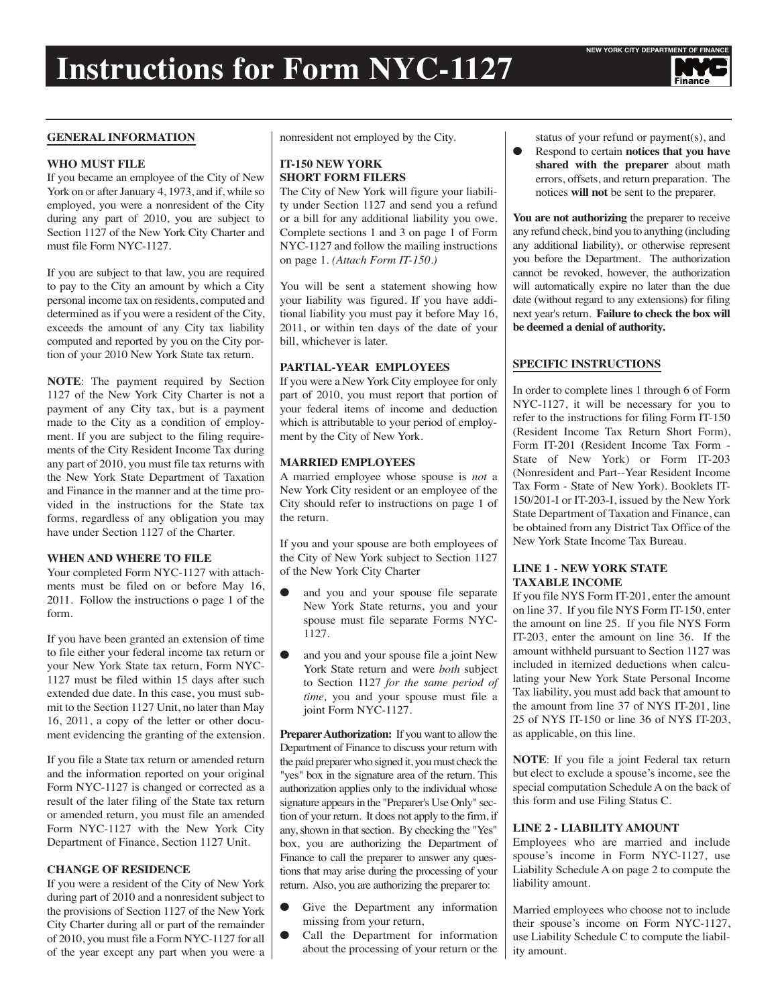

#### **GENERAL INFORMATION**

#### **WHO MUST FILE**

If you became an employee of the City of New York on or after January 4, 1973, and if, while so employed, you were a nonresident of the City during any part of 2010, you are subject to Section 1127 of the New York City Charter and must file Form NYC-1127.

If you are subject to that law, you are required to pay to the City an amount by which a City personal income tax on residents, computed and determined as if you were a resident of the City, exceeds the amount of any City tax liability computed and reported by you on the City portion of your 2010 New York State tax return.

**NOTE**: The payment required by Section 1127 of the New York City Charter is not a payment of any City tax, but is a payment made to the City as a condition of employment. If you are subject to the filing requirements of the City Resident Income Tax during any part of 2010, you must file tax returns with the New York State Department of Taxation and Finance in the manner and at the time provided in the instructions for the State tax forms, regardless of any obligation you may have under Section 1127 of the Charter.

### **WHEN AND WHERE TO FILE**

Your completed Form NYC-1127 with attachments must be filed on or before May 16, 2011. Follow the instructions o page 1 of the form.

If you have been granted an extension of time to file either your federal income tax return or your New York State tax return, Form NYC-1127 must be filed within 15 days after such extended due date. In this case, you must submit to the Section 1127 Unit, no later than May 16, 2011, a copy of the letter or other document evidencing the granting of the extension.

If you file a State tax return or amended return and the information reported on your original Form NYC-1127 is changed or corrected as a result of the later filing of the State tax return or amended return, you must file an amended Form NYC-1127 with the New York City Department of Finance, Section 1127 Unit.

#### **CHANGE OF RESIDENCE**

If you were a resident of the City of New York during part of 2010 and a nonresident subject to the provisions of Section 1127 of the New York City Charter during all or part of the remainder of 2010, you must file a Form NYC-1127 for all of the year except any part when you were a nonresident not employed by the City.

#### **IT-150 NEW YORK SHORT FORM FILERS**

The City of New York will figure your liability under Section 1127 and send you a refund or a bill for any additional liability you owe. Complete sections 1 and 3 on page 1 of Form NYC-1127 and follow the mailing instructions on page 1. *(Attach Form IT-150.)*

You will be sent a statement showing how your liability was figured. If you have additional liability you must pay it before May 16, 2011, or within ten days of the date of your bill, whichever is later.

## **PARTIAL-YEAR EMPLOYEES**

If you were a New York City employee for only part of 2010, you must report that portion of your federal items of income and deduction which is attributable to your period of employment by the City of New York.

#### **MARRIED EMPLOYEES**

A married employee whose spouse is *not* a New York City resident or an employee of the City should refer to instructions on page 1 of the return.

If you and your spouse are both employees of the City of New York subject to Section 1127 of the New York City Charter

- and you and your spouse file separate New York State returns, you and your spouse must file separate Forms NYC-1127.
- and you and your spouse file a joint New York State return and were *both* subject to Section 1127 *for the same period of time,* you and your spouse must file a joint Form NYC-1127.

**Preparer Authorization:** If you want to allow the Department of Finance to discuss your return with the paid preparerwho signed it, youmust check the "yes" box in the signature area of the return. This authorization applies only to the individual whose signature appears in the "Preparer's Use Only" section of your return. It does not apply to the firm, if any, shown in that section. By checking the "Yes" box, you are authorizing the Department of Finance to call the preparer to answer any questions that may arise during the processing of your return. Also, you are authorizing the preparer to:

- Give the Department any information missing from your return,
- Call the Department for information about the processing of your return or the

status of your refund or payment(s), and

● Respond to certain **notices that you have shared with the preparer** about math errors, offsets, and return preparation. The notices **will not** be sent to the preparer.

**You are not authorizing** the preparer to receive any refund check, bind you to anything (including any additional liability), or otherwise represent you before the Department. The authorization cannot be revoked, however, the authorization will automatically expire no later than the due date (without regard to any extensions) for filing next year's return. **Failure to check the box will be deemed a denial of authority.**

## **SPECIFIC INSTRUCTIONS**

In order to complete lines 1 through 6 of Form NYC-1127, it will be necessary for you to refer to the instructions for filing Form IT-150 (Resident Income Tax Return Short Form), Form IT-201 (Resident Income Tax Form - State of New York) or Form IT-203 (Nonresident and Part--Year Resident Income Tax Form - State of New York). Booklets IT-150/201-I or IT-203-I, issued by the New York State Department of Taxation and Finance, can be obtained from any District Tax Office of the New York State Income Tax Bureau.

# **LINE 1 - NEW YORK STATE TAXABLE INCOME**

If you file NYS Form IT-201, enter the amount on line 37. If you file NYS Form IT-150, enter the amount on line 25. If you file NYS Form IT-203, enter the amount on line 36. If the amount withheld pursuant to Section 1127 was included in itemized deductions when calculating your New York State Personal Income Tax liability, you must add back that amount to the amount from line 37 of NYS IT-201, line 25 of NYS IT-150 or line 36 of NYS IT-203, as applicable, on this line.

**NOTE**: If you file a joint Federal tax return but elect to exclude a spouse's income, see the special computation Schedule A on the back of this form and use Filing Status C.

#### **LINE 2 - LIABILITY AMOUNT**

Employees who are married and include spouse's income in Form NYC-1127, use Liability Schedule A on page 2 to compute the liability amount.

Married employees who choose not to include their spouse's income on Form NYC-1127, use Liability Schedule C to compute the liability amount.